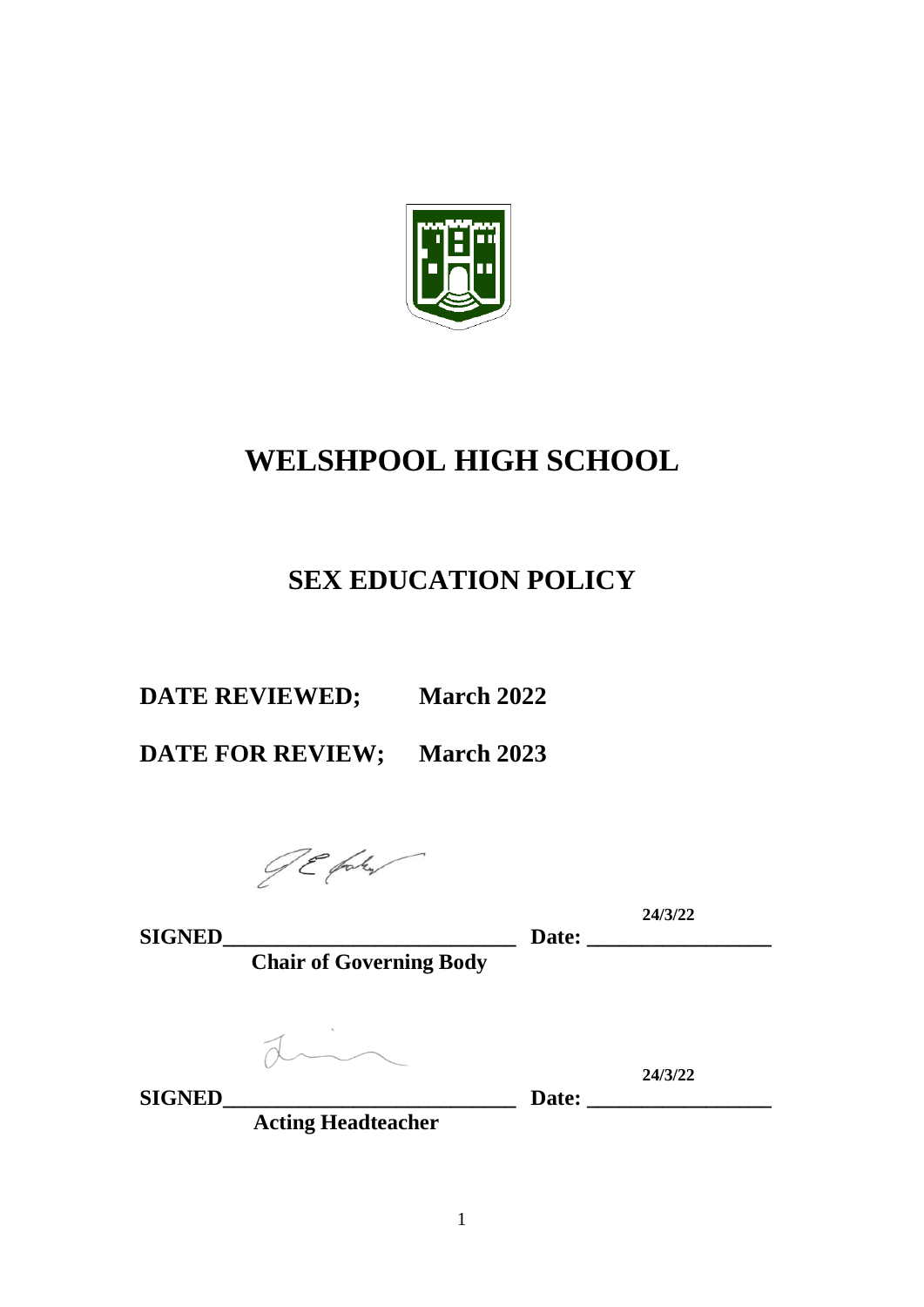

# **WELSHPOOL HIGH SCHOOL**

## **SEX EDUCATION POLICY**

**DATE REVIEWED; March 2022**

**DATE FOR REVIEW; March 2023**

JE fak

**24/3/22**

**SIGNED\_\_\_\_\_\_\_\_\_\_\_\_\_\_\_\_\_\_\_\_\_\_\_\_\_\_\_ Date: \_\_\_\_\_\_\_\_\_\_\_\_\_\_\_\_\_ Chair of Governing Body**

din

**SIGNED\_\_\_\_\_\_\_\_\_\_\_\_\_\_\_\_\_\_\_\_\_\_\_\_\_\_\_ Date: \_\_\_\_\_\_\_\_\_\_\_\_\_\_\_\_\_**

**24/3/22**

 **Acting Headteacher**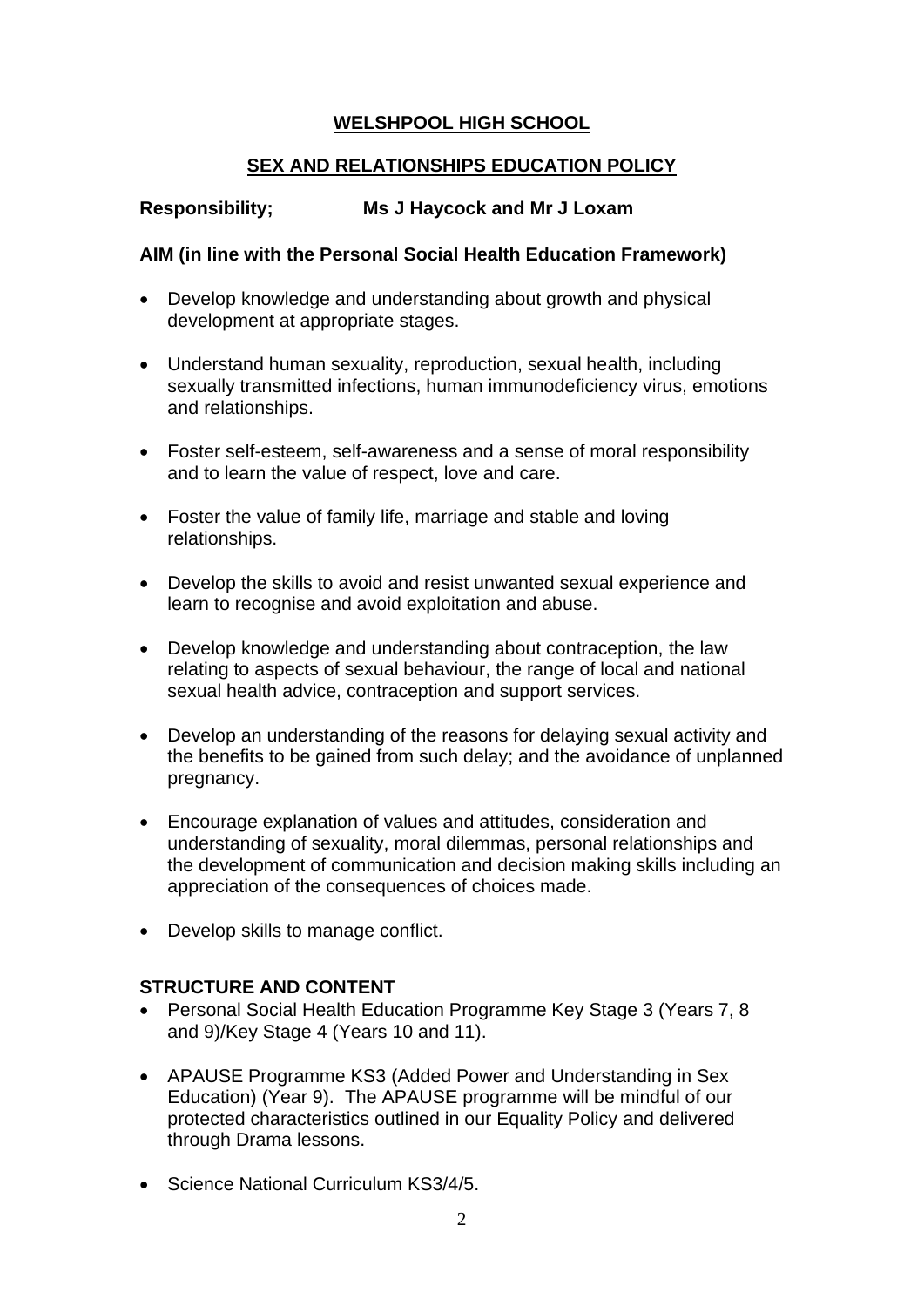### **WELSHPOOL HIGH SCHOOL**

#### **SEX AND RELATIONSHIPS EDUCATION POLICY**

#### **Responsibility; Ms J Haycock and Mr J Loxam**

#### **AIM (in line with the Personal Social Health Education Framework)**

- Develop knowledge and understanding about growth and physical development at appropriate stages.
- Understand human sexuality, reproduction, sexual health, including sexually transmitted infections, human immunodeficiency virus, emotions and relationships.
- Foster self-esteem, self-awareness and a sense of moral responsibility and to learn the value of respect, love and care.
- Foster the value of family life, marriage and stable and loving relationships.
- Develop the skills to avoid and resist unwanted sexual experience and learn to recognise and avoid exploitation and abuse.
- Develop knowledge and understanding about contraception, the law relating to aspects of sexual behaviour, the range of local and national sexual health advice, contraception and support services.
- Develop an understanding of the reasons for delaying sexual activity and the benefits to be gained from such delay; and the avoidance of unplanned pregnancy.
- Encourage explanation of values and attitudes, consideration and understanding of sexuality, moral dilemmas, personal relationships and the development of communication and decision making skills including an appreciation of the consequences of choices made.
- Develop skills to manage conflict.

### **STRUCTURE AND CONTENT**

- Personal Social Health Education Programme Key Stage 3 (Years 7, 8 and 9)/Key Stage 4 (Years 10 and 11).
- APAUSE Programme KS3 (Added Power and Understanding in Sex Education) (Year 9). The APAUSE programme will be mindful of our protected characteristics outlined in our Equality Policy and delivered through Drama lessons.
- Science National Curriculum KS3/4/5.